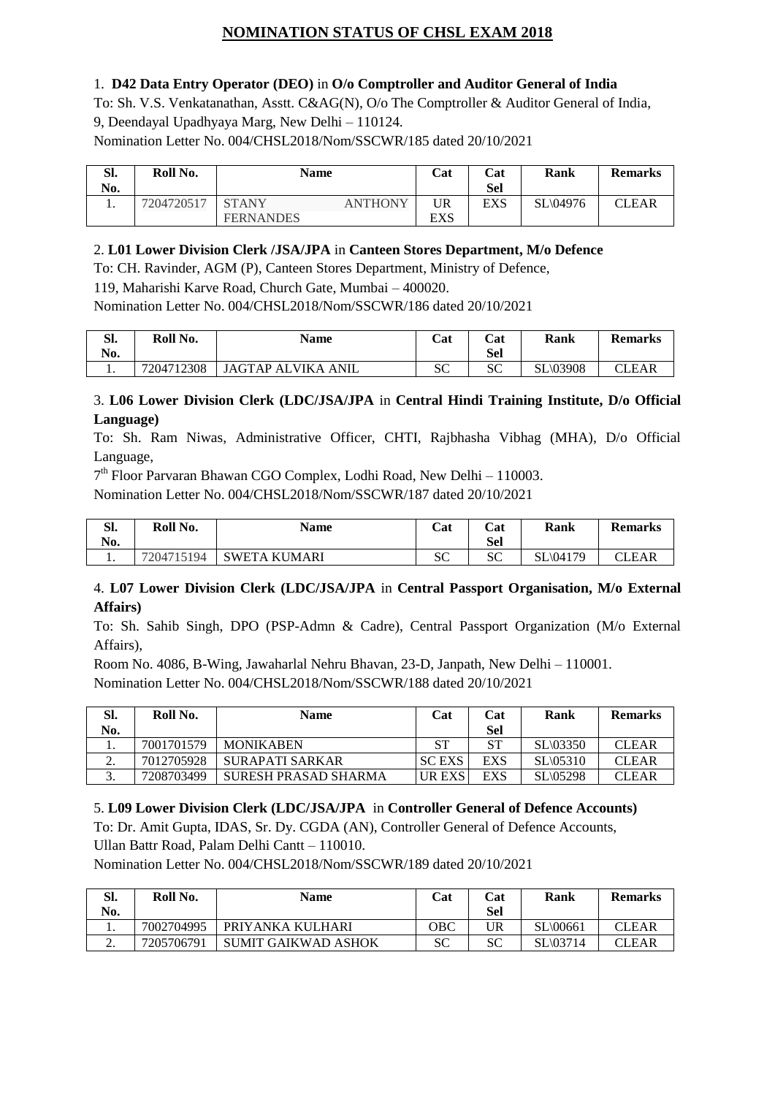# **NOMINATION STATUS OF CHSL EXAM 2018**

#### 1. **D42 Data Entry Operator (DEO)** in **O/o Comptroller and Auditor General of India**

To: Sh. V.S. Venkatanathan, Asstt. C&AG(N), O/o The Comptroller & Auditor General of India, 9, Deendayal Upadhyaya Marg, New Delhi – 110124. Nomination Letter No. 004/CHSL2018/Nom/SSCWR/185 dated 20/10/2021

| SI.<br>No. | Roll No.   | Name             |                | Cat | Cat<br>Sel | Rank     | <b>Remarks</b> |
|------------|------------|------------------|----------------|-----|------------|----------|----------------|
| . .        | 7204720517 | <b>STANY</b>     | <b>ANTHONY</b> | UR  | <b>EXS</b> | SL\04976 | CLEAR          |
|            |            | <b>FERNANDES</b> |                | EXS |            |          |                |

### 2. **L01 Lower Division Clerk /JSA/JPA** in **Canteen Stores Department, M/o Defence**

To: CH. Ravinder, AGM (P), Canteen Stores Department, Ministry of Defence,

119, Maharishi Karve Road, Church Gate, Mumbai – 400020.

Nomination Letter No. 004/CHSL2018/Nom/SSCWR/186 dated 20/10/2021

| CП<br>ы.<br>No. | Roll No.   | <b>Name</b>        | Cat       | Cat<br>Sel | Rank            | <b>Remarks</b> |
|-----------------|------------|--------------------|-----------|------------|-----------------|----------------|
| . .             | 7204712308 | JAGTAP ALVIKA ANIL | cΩ<br>JU. | SC         | <b>SL\03908</b> | CLEAR          |

### 3. **L06 Lower Division Clerk (LDC/JSA/JPA** in **Central Hindi Training Institute, D/o Official Language)**

To: Sh. Ram Niwas, Administrative Officer, CHTI, Rajbhasha Vibhag (MHA), D/o Official Language,

7<sup>th</sup> Floor Parvaran Bhawan CGO Complex, Lodhi Road, New Delhi - 110003.

Nomination Letter No. 004/CHSL2018/Nom/SSCWR/187 dated 20/10/2021

| Sl.<br>No. | Roll No.   | <b>Name</b>        | Cat          | Cat<br>Sel | Rank     | <b>Remarks</b> |
|------------|------------|--------------------|--------------|------------|----------|----------------|
| . .        | 7204715194 | SWETA KU.<br>JMARI | $\sim$<br>υU | SC         | SL\04179 | CLEAR          |

### 4. **L07 Lower Division Clerk (LDC/JSA/JPA** in **Central Passport Organisation, M/o External Affairs)**

To: Sh. Sahib Singh, DPO (PSP-Admn & Cadre), Central Passport Organization (M/o External Affairs),

Room No. 4086, B-Wing, Jawaharlal Nehru Bhavan, 23-D, Janpath, New Delhi – 110001. Nomination Letter No. 004/CHSL2018/Nom/SSCWR/188 dated 20/10/2021

| Sl.          | Roll No.   | <b>Name</b>          | Cat           | Cat       | Rank                 | <b>Remarks</b> |
|--------------|------------|----------------------|---------------|-----------|----------------------|----------------|
| No.          |            |                      |               | Sel       |                      |                |
|              | 7001701579 | <b>MONIKABEN</b>     | ST            | <b>ST</b> | SL(03350)            | <b>CLEAR</b>   |
|              | 7012705928 | SURAPATI SARKAR      | <b>SCEXS</b>  | EXS       | $SL \setminus 05310$ | <b>CLEAR</b>   |
| $\sim$<br>J. | 7208703499 | SURESH PRASAD SHARMA | <b>UR EXS</b> | EXS       | <b>SL\05298</b>      | <b>CLEAR</b>   |

### 5. **L09 Lower Division Clerk (LDC/JSA/JPA** in **Controller General of Defence Accounts)**

To: Dr. Amit Gupta, IDAS, Sr. Dy. CGDA (AN), Controller General of Defence Accounts, Ullan Battr Road, Palam Delhi Cantt – 110010.

Nomination Letter No. 004/CHSL2018/Nom/SSCWR/189 dated 20/10/2021

| SI.      | Roll No.   | <b>Name</b>                | Cat | Cat        | Rank     | <b>Remarks</b> |
|----------|------------|----------------------------|-----|------------|----------|----------------|
| No.      |            |                            |     | <b>Sel</b> |          |                |
| ı.       | 7002704995 | PRIYANKA KULHARI           | OBC | UR         | SL\00661 | CLEAR          |
| <u>.</u> | 7205706791 | <b>SUMIT GAIKWAD ASHOK</b> | SС  | SС         | SL\03714 | CLEAR          |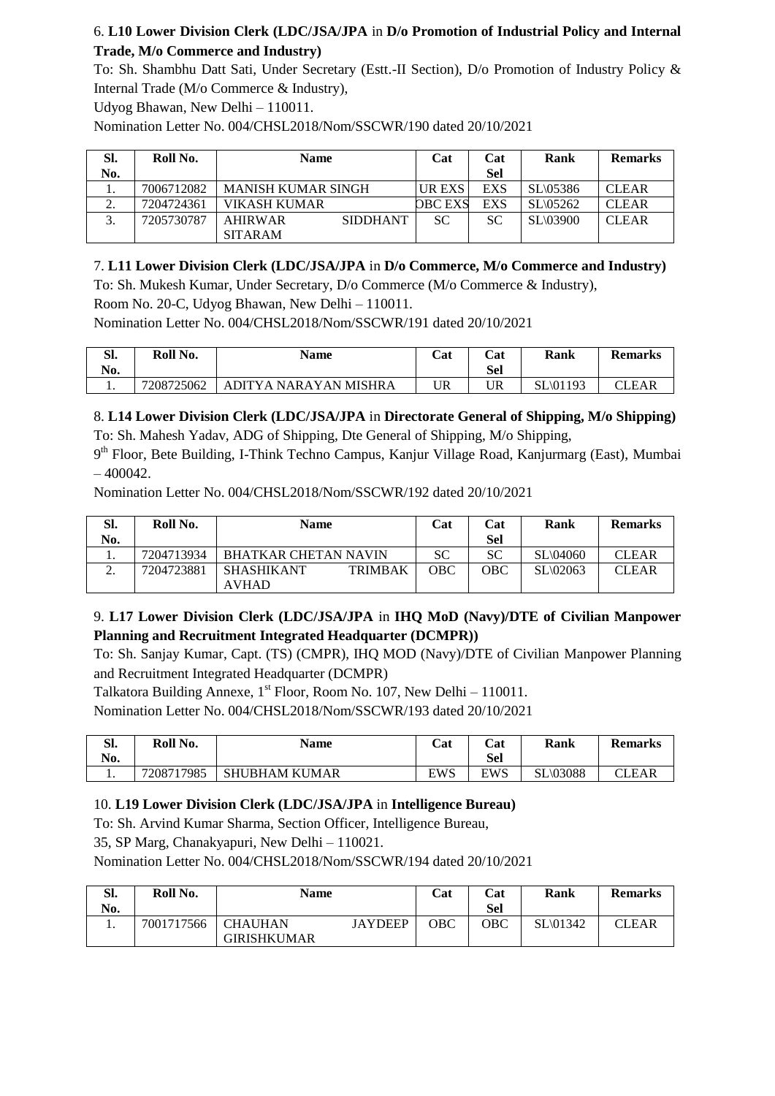## 6. **L10 Lower Division Clerk (LDC/JSA/JPA** in **D/o Promotion of Industrial Policy and Internal Trade, M/o Commerce and Industry)**

To: Sh. Shambhu Datt Sati, Under Secretary (Estt.-II Section), D/o Promotion of Industry Policy & Internal Trade (M/o Commerce & Industry),

Udyog Bhawan, New Delhi – 110011.

Nomination Letter No. 004/CHSL2018/Nom/SSCWR/190 dated 20/10/2021

| SI. | Roll No.   | <b>Name</b>               |                 | Cat            | Cat        | Rank                 | <b>Remarks</b> |
|-----|------------|---------------------------|-----------------|----------------|------------|----------------------|----------------|
| No. |            |                           |                 |                | Sel        |                      |                |
|     | 7006712082 | <b>MANISH KUMAR SINGH</b> |                 | UR EXS         | <b>EXS</b> | $SL \setminus 05386$ | <b>CLEAR</b>   |
| ٠.  | 7204724361 | VIKASH KUMAR              |                 | <b>OBC EXS</b> | EXS        | $SL \setminus 05262$ | <b>CLEAR</b>   |
|     | 7205730787 | <b>AHIRWAR</b>            | <b>SIDDHANT</b> | SC.            | SC         | <b>SL\03900</b>      | <b>CLEAR</b>   |
|     |            | <b>SITARAM</b>            |                 |                |            |                      |                |

## 7. **L11 Lower Division Clerk (LDC/JSA/JPA** in **D/o Commerce, M/o Commerce and Industry)**

To: Sh. Mukesh Kumar, Under Secretary, D/o Commerce (M/o Commerce & Industry),

Room No. 20-C, Udyog Bhawan, New Delhi – 110011.

Nomination Letter No. 004/CHSL2018/Nom/SSCWR/191 dated 20/10/2021

| Sl.<br>No. | Roll No.   | <b>Name</b>           | Cat | Cat<br>Sel | Rank     | <b>Remarks</b> |
|------------|------------|-----------------------|-----|------------|----------|----------------|
|            | 7208725062 | ADITYA NARAYAN MISHRA | UR  | UR         | SL\01193 | CLEAR          |

## 8. **L14 Lower Division Clerk (LDC/JSA/JPA** in **Directorate General of Shipping, M/o Shipping)**

To: Sh. Mahesh Yadav, ADG of Shipping, Dte General of Shipping, M/o Shipping,

9<sup>th</sup> Floor, Bete Building, I-Think Techno Campus, Kanjur Village Road, Kanjurmarg (East), Mumbai  $-400042.$ 

Nomination Letter No. 004/CHSL2018/Nom/SSCWR/192 dated 20/10/2021

| SI.      | Roll No.   | <b>Name</b>                         | Cat | Cat | Rank                 | <b>Remarks</b> |
|----------|------------|-------------------------------------|-----|-----|----------------------|----------------|
| No.      |            |                                     |     | Sel |                      |                |
|          | 7204713934 | <b>BHATKAR CHETAN NAVIN</b>         | SС  | SС  | $SL \setminus 04060$ | <b>CLEAR</b>   |
| <u>.</u> | 7204723881 | <b>TRIMBAK</b><br><b>SHASHIKANT</b> | OBC | OBC | $SL \setminus 02063$ | <b>CLEAR</b>   |
|          |            | <b>AVHAD</b>                        |     |     |                      |                |

## 9. **L17 Lower Division Clerk (LDC/JSA/JPA** in **IHQ MoD (Navy)/DTE of Civilian Manpower Planning and Recruitment Integrated Headquarter (DCMPR))**

To: Sh. Sanjay Kumar, Capt. (TS) (CMPR), IHQ MOD (Navy)/DTE of Civilian Manpower Planning and Recruitment Integrated Headquarter (DCMPR)

Talkatora Building Annexe,  $1<sup>st</sup>$  Floor, Room No. 107, New Delhi – 110011.

Nomination Letter No. 004/CHSL2018/Nom/SSCWR/193 dated 20/10/2021

| $\sim$<br>o.<br>No. | Roll No.   | <b>Name</b>          | Cat | Cat<br>Sel | Rank            | <b>Remarks</b> |
|---------------------|------------|----------------------|-----|------------|-----------------|----------------|
| . .                 | 7208717985 | <b>SHUBHAM KUMAR</b> | EWS | EWS        | <b>SL\03088</b> | CLEAR          |

### 10. **L19 Lower Division Clerk (LDC/JSA/JPA** in **Intelligence Bureau)**

To: Sh. Arvind Kumar Sharma, Section Officer, Intelligence Bureau,

35, SP Marg, Chanakyapuri, New Delhi – 110021.

Nomination Letter No. 004/CHSL2018/Nom/SSCWR/194 dated 20/10/2021

| Sl.<br>No. | Roll No.   | <b>Name</b>                          |                | Cat | Cat<br>Sel | Rank                 | <b>Remarks</b> |
|------------|------------|--------------------------------------|----------------|-----|------------|----------------------|----------------|
|            | 7001717566 | <b>CHAUHAN</b><br><b>GIRISHKUMAR</b> | <b>JAYDEEP</b> | OBC | ОВС        | $SL\backslash 01342$ | CLEAR          |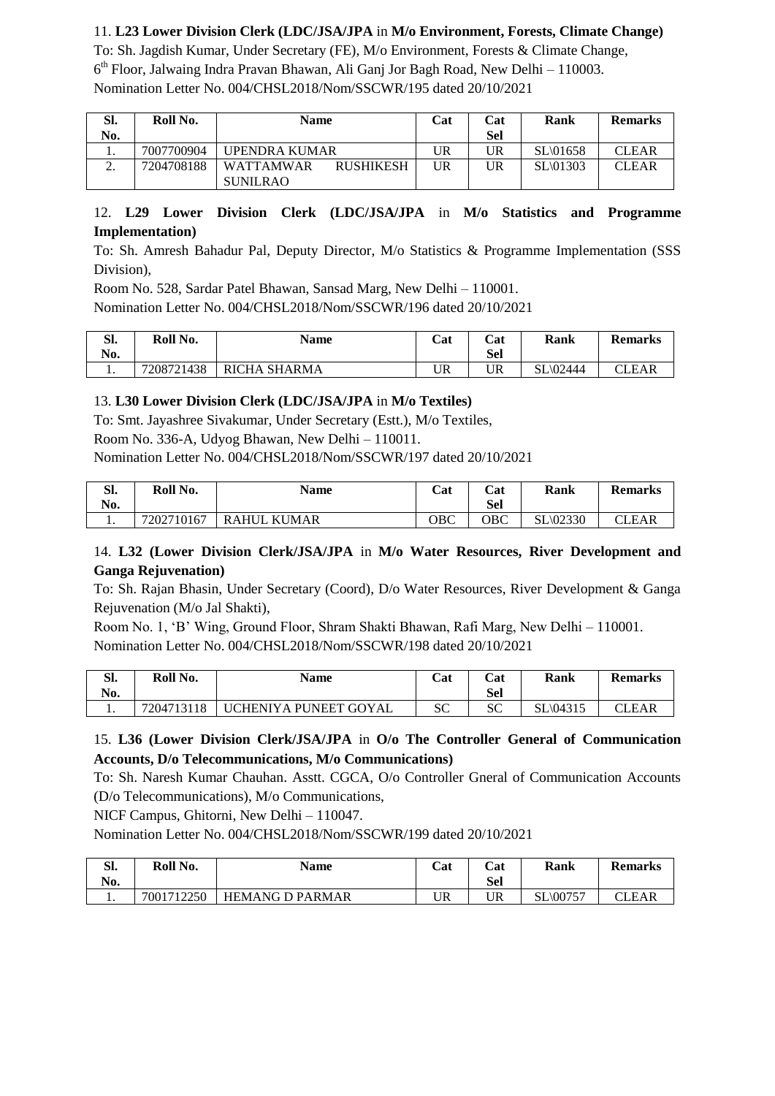### 11. **L23 Lower Division Clerk (LDC/JSA/JPA** in **M/o Environment, Forests, Climate Change)**

To: Sh. Jagdish Kumar, Under Secretary (FE), M/o Environment, Forests & Climate Change, 6 th Floor, Jalwaing Indra Pravan Bhawan, Ali Ganj Jor Bagh Road, New Delhi – 110003. Nomination Letter No. 004/CHSL2018/Nom/SSCWR/195 dated 20/10/2021

| SI. | Roll No.   | <b>Name</b>                          | Cat | Cat | Rank                 | <b>Remarks</b> |
|-----|------------|--------------------------------------|-----|-----|----------------------|----------------|
| No. |            |                                      |     | Sel |                      |                |
|     | 7007700904 | UPENDRA KUMAR                        | UR  | UR  | SL\01658             | <b>CLEAR</b>   |
| ۷.  | 7204708188 | <b>WATTAMWAR</b><br><b>RUSHIKESH</b> | UR  | UR  | $SL \setminus 01303$ | <b>CLEAR</b>   |
|     |            | <b>SUNILRAO</b>                      |     |     |                      |                |

### 12. **L29 Lower Division Clerk (LDC/JSA/JPA** in **M/o Statistics and Programme Implementation)**

To: Sh. Amresh Bahadur Pal, Deputy Director, M/o Statistics & Programme Implementation (SSS Division),

Room No. 528, Sardar Patel Bhawan, Sansad Marg, New Delhi – 110001.

Nomination Letter No. 004/CHSL2018/Nom/SSCWR/196 dated 20/10/2021

| CП<br>ы. | Roll No.   | <b>Name</b>         | Cat | Cat        | Rank     | <b>Remarks</b> |
|----------|------------|---------------------|-----|------------|----------|----------------|
| No.      |            |                     |     | <b>Sel</b> |          |                |
| . .      | 7208721438 | <b>RICHA SHARMA</b> | UR  | UR         | SL\02444 | CLEAR          |

### 13. **L30 Lower Division Clerk (LDC/JSA/JPA** in **M/o Textiles)**

To: Smt. Jayashree Sivakumar, Under Secretary (Estt.), M/o Textiles,

Room No. 336-A, Udyog Bhawan, New Delhi – 110011.

Nomination Letter No. 004/CHSL2018/Nom/SSCWR/197 dated 20/10/2021

| cч<br>ы.<br>No. | Roll No.   | Name                         | Cat | Cat<br>Sel | Rank                 | <b>Remarks</b> |
|-----------------|------------|------------------------------|-----|------------|----------------------|----------------|
| . .             | 7202710167 | <b>KUMAR</b><br><b>RAHUL</b> | OBC | OBC        | $SL \setminus 02330$ | CLEAR          |

### 14. **L32 (Lower Division Clerk/JSA/JPA** in **M/o Water Resources, River Development and Ganga Rejuvenation)**

To: Sh. Rajan Bhasin, Under Secretary (Coord), D/o Water Resources, River Development & Ganga Rejuvenation (M/o Jal Shakti),

Room No. 1, 'B' Wing, Ground Floor, Shram Shakti Bhawan, Rafi Marg, New Delhi – 110001. Nomination Letter No. 004/CHSL2018/Nom/SSCWR/198 dated 20/10/2021

| $\sim$<br>ы.<br>No. | Roll No.   | <b>Name</b>           | Cat         | Cat<br>Sel | Rank                 | <b>Remarks</b> |
|---------------------|------------|-----------------------|-------------|------------|----------------------|----------------|
| . .                 | 7204713118 | UCHENIYA PUNEET GOYAL | $\sim$<br>ື | SC         | $SL \setminus 04315$ | CLEAR          |

### 15. **L36 (Lower Division Clerk/JSA/JPA** in **O/o The Controller General of Communication Accounts, D/o Telecommunications, M/o Communications)**

To: Sh. Naresh Kumar Chauhan. Asstt. CGCA, O/o Controller Gneral of Communication Accounts (D/o Telecommunications), M/o Communications,

NICF Campus, Ghitorni, New Delhi – 110047.

Nomination Letter No. 004/CHSL2018/Nom/SSCWR/199 dated 20/10/2021

| $\alpha$<br>эı.<br>No. | Roll No.   | <b>Name</b>            | Cat | Cat<br>Sel | Rank                 | <b>Remarks</b> |
|------------------------|------------|------------------------|-----|------------|----------------------|----------------|
| ı.                     | 7001712250 | <b>HEMANG D PARMAR</b> | UR  | UR         | $SL \setminus 00757$ | 'LEAR          |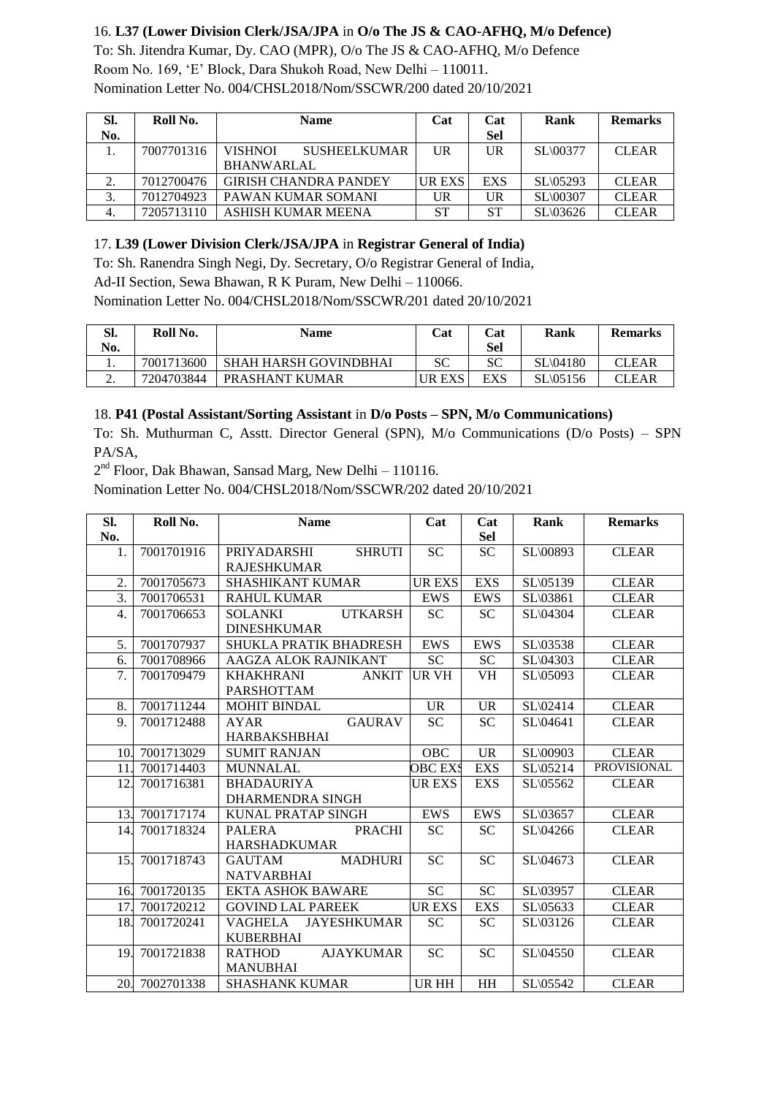## 16. **L37 (Lower Division Clerk/JSA/JPA** in **O/o The JS & CAO-AFHQ, M/o Defence)**

To: Sh. Jitendra Kumar, Dy. CAO (MPR), O/o The JS & CAO-AFHQ, M/o Defence Room No. 169, 'E' Block, Dara Shukoh Road, New Delhi – 110011. Nomination Letter No. 004/CHSL2018/Nom/SSCWR/200 dated 20/10/2021

| SI. | Roll No.   | <b>Name</b>                           | Cat           | Cat        | Rank                 | <b>Remarks</b> |
|-----|------------|---------------------------------------|---------------|------------|----------------------|----------------|
| No. |            |                                       |               | <b>Sel</b> |                      |                |
|     | 7007701316 | <b>SUSHEELKUMAR</b><br><b>VISHNOI</b> | UR            | UR         | $SL \setminus 00377$ | <b>CLEAR</b>   |
|     |            | <b>BHANWARLAL</b>                     |               |            |                      |                |
| 2.  | 7012700476 | <b>GIRISH CHANDRA PANDEY</b>          | <b>UR EXS</b> | <b>EXS</b> | SL\05293             | <b>CLEAR</b>   |
| ◠   | 7012704923 | PAWAN KUMAR SOMANI                    | UR            | UR         | <b>SL\00307</b>      | <b>CLEAR</b>   |
|     | 7205713110 | ASHISH KUMAR MEENA                    | <b>ST</b>     | <b>ST</b>  | $SL \setminus 03626$ | <b>CLEAR</b>   |

#### 17. **L39 (Lower Division Clerk/JSA/JPA** in **Registrar General of India)**

To: Sh. Ranendra Singh Negi, Dy. Secretary, O/o Registrar General of India,

Ad-II Section, Sewa Bhawan, R K Puram, New Delhi – 110066.

Nomination Letter No. 004/CHSL2018/Nom/SSCWR/201 dated 20/10/2021

| SI.      | Roll No.   | Name                         | $\mathbb{C}$ at | Cat | Rank                 | <b>Remarks</b> |
|----------|------------|------------------------------|-----------------|-----|----------------------|----------------|
| No.      |            |                              |                 | Sel |                      |                |
| ı.       | 7001713600 | <b>SHAH HARSH GOVINDBHAI</b> | SС              | SС  | $SL \setminus 04180$ | CLEAR          |
| <u>.</u> | 7204703844 | PRASHANT KUMAR               | UR EXS          | EXS | $SL \setminus 05156$ | CLEAR          |

#### 18. **P41 (Postal Assistant/Sorting Assistant** in **D/o Posts – SPN, M/o Communications)**

To: Sh. Muthurman C, Asstt. Director General (SPN), M/o Communications (D/o Posts) – SPN PA/SA,

2<sup>nd</sup> Floor, Dak Bhawan, Sansad Marg, New Delhi - 110116.

Nomination Letter No. 004/CHSL2018/Nom/SSCWR/202 dated 20/10/2021

| SI.              | Roll No.       | <b>Name</b>                          | Cat             | Cat             | Rank     | <b>Remarks</b>     |
|------------------|----------------|--------------------------------------|-----------------|-----------------|----------|--------------------|
| No.              |                |                                      |                 | <b>Sel</b>      |          |                    |
| 1.               | 7001701916     | PRIYADARSHI<br><b>SHRUTI</b>         | $\overline{SC}$ | $\overline{SC}$ | SL\00893 | <b>CLEAR</b>       |
|                  |                | <b>RAJESHKUMAR</b>                   |                 |                 |          |                    |
| 2.               | 7001705673     | <b>SHASHIKANT KUMAR</b>              | <b>UR EXS</b>   | <b>EXS</b>      | SL\05139 | <b>CLEAR</b>       |
| $\overline{3}$ . | 7001706531     | <b>RAHUL KUMAR</b>                   | <b>EWS</b>      | <b>EWS</b>      | SL\03861 | <b>CLEAR</b>       |
| $\overline{4}$ . | 7001706653     | <b>UTKARSH</b><br><b>SOLANKI</b>     | <b>SC</b>       | <b>SC</b>       | SL\04304 | <b>CLEAR</b>       |
|                  |                | <b>DINESHKUMAR</b>                   |                 |                 |          |                    |
| 5.               | 7001707937     | <b>SHUKLA PRATIK BHADRESH</b>        | <b>EWS</b>      | <b>EWS</b>      | SL\03538 | <b>CLEAR</b>       |
| 6.               | 7001708966     | AAGZA ALOK RAJNIKANT                 | <b>SC</b>       | <b>SC</b>       | SL\04303 | <b>CLEAR</b>       |
| 7.               | 7001709479     | <b>KHAKHRANI</b><br><b>ANKIT</b>     | <b>UR VH</b>    | <b>VH</b>       | SL\05093 | <b>CLEAR</b>       |
|                  |                | <b>PARSHOTTAM</b>                    |                 |                 |          |                    |
| 8.               | 7001711244     | <b>MOHIT BINDAL</b>                  | <b>UR</b>       | <b>UR</b>       | SL\02414 | <b>CLEAR</b>       |
| 9.               | 7001712488     | <b>GAURAV</b><br><b>AYAR</b>         | <b>SC</b>       | <b>SC</b>       | SL\04641 | <b>CLEAR</b>       |
|                  |                | <b>HARBAKSHBHAI</b>                  |                 |                 |          |                    |
| 10.              | 7001713029     | <b>SUMIT RANJAN</b>                  | <b>OBC</b>      | $\overline{UR}$ | SL\00903 | <b>CLEAR</b>       |
| 11.              | 7001714403     | <b>MUNNALAL</b>                      | <b>OBC EXS</b>  | <b>EXS</b>      | SL\05214 | <b>PROVISIONAL</b> |
| 12.              | 7001716381     | <b>BHADAURIYA</b>                    | UR EXS          | <b>EXS</b>      | SL\05562 | <b>CLEAR</b>       |
|                  |                | DHARMENDRA SINGH                     |                 |                 |          |                    |
| 13.              | 7001717174     | KUNAL PRATAP SINGH                   | EWS             | <b>EWS</b>      | SL\03657 | <b>CLEAR</b>       |
| 14.              | 7001718324     | <b>PRACHI</b><br><b>PALERA</b>       | <b>SC</b>       | <b>SC</b>       | SL\04266 | <b>CLEAR</b>       |
|                  |                | <b>HARSHADKUMAR</b>                  |                 |                 |          |                    |
| 15.              | 7001718743     | <b>GAUTAM</b><br><b>MADHURI</b>      | <b>SC</b>       | <b>SC</b>       | SL\04673 | <b>CLEAR</b>       |
|                  |                | <b>NATVARBHAI</b>                    |                 |                 |          |                    |
|                  | 16. 7001720135 | <b>EKTA ASHOK BAWARE</b>             | ${\rm SC}$      | <b>SC</b>       | SL\03957 | <b>CLEAR</b>       |
| 17.              | 7001720212     | <b>GOVIND LAL PAREEK</b>             | <b>UREXS</b>    | <b>EXS</b>      | SL\05633 | <b>CLEAR</b>       |
| 18.              | 7001720241     | <b>VAGHELA</b><br><b>JAYESHKUMAR</b> | <b>SC</b>       | <b>SC</b>       | SL\03126 | <b>CLEAR</b>       |
|                  |                | <b>KUBERBHAI</b>                     |                 |                 |          |                    |
| 19.              | 7001721838     | <b>AJAYKUMAR</b><br><b>RATHOD</b>    | <b>SC</b>       | <b>SC</b>       | SL\04550 | <b>CLEAR</b>       |
|                  |                | <b>MANUBHAI</b>                      |                 |                 |          |                    |
|                  | 20. 7002701338 | <b>SHASHANK KUMAR</b>                | <b>URHH</b>     | HH              | SL\05542 | <b>CLEAR</b>       |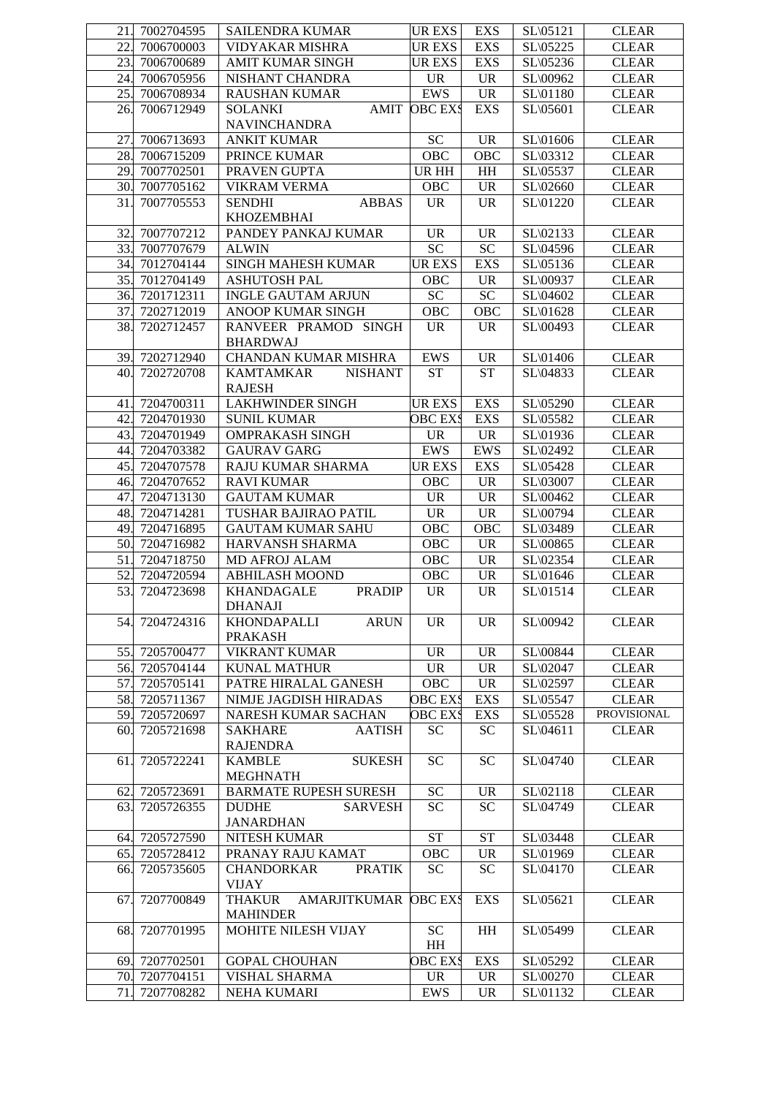| 21. | 7002704595     | <b>SAILENDRA KUMAR</b>               | <b>UR EXS</b>                     | <b>EXS</b>                        | SL\05121  | <b>CLEAR</b>       |
|-----|----------------|--------------------------------------|-----------------------------------|-----------------------------------|-----------|--------------------|
| 22  | 7006700003     | <b>VIDYAKAR MISHRA</b>               | <b>UR EXS</b>                     | <b>EXS</b>                        | SL\05225  | <b>CLEAR</b>       |
| 23. | 7006700689     | <b>AMIT KUMAR SINGH</b>              | <b>UR EXS</b>                     | <b>EXS</b>                        | SL\05236  | <b>CLEAR</b>       |
| 24. | 7006705956     | NISHANT CHANDRA                      | <b>UR</b>                         | <b>UR</b>                         | SL\00962  | <b>CLEAR</b>       |
| 25. | 7006708934     | <b>RAUSHAN KUMAR</b>                 | <b>EWS</b>                        | <b>UR</b>                         | SL\01180  | <b>CLEAR</b>       |
| 26. | 7006712949     | <b>AMIT</b><br><b>SOLANKI</b>        | <b>OBC EXS</b>                    | <b>EXS</b>                        | SL(05601) | <b>CLEAR</b>       |
|     |                | <b>NAVINCHANDRA</b>                  |                                   |                                   |           |                    |
| 27  | 7006713693     | <b>ANKIT KUMAR</b>                   | SC                                | $\ensuremath{\mathsf{UR}}\xspace$ | SL\01606  | <b>CLEAR</b>       |
| 28. | 7006715209     | PRINCE KUMAR                         | OBC                               | <b>OBC</b>                        | SL\03312  | <b>CLEAR</b>       |
| 29. | 7007702501     | PRAVEN GUPTA                         | $\overline{UR}$ HH                | $\mathbf{H} \mathbf{H}$           | SL\05537  | <b>CLEAR</b>       |
| 30. | 7007705162     | <b>VIKRAM VERMA</b>                  | OBC                               | <b>UR</b>                         | SL\02660  | <b>CLEAR</b>       |
| 31. | 7007705553     | <b>ABBAS</b><br><b>SENDHI</b>        | <b>UR</b>                         | <b>UR</b>                         | SL\01220  | <b>CLEAR</b>       |
|     |                | <b>KHOZEMBHAI</b>                    |                                   |                                   |           |                    |
| 32. | 7007707212     | PANDEY PANKAJ KUMAR                  | $\ensuremath{\mathsf{UR}}\xspace$ | $\ensuremath{\mathsf{UR}}\xspace$ | SL\02133  | <b>CLEAR</b>       |
| 33. | 7007707679     | <b>ALWIN</b>                         | <b>SC</b>                         | ${\rm SC}$                        | SL\04596  | <b>CLEAR</b>       |
| 34. | 7012704144     | SINGH MAHESH KUMAR                   | <b>UREXS</b>                      | <b>EXS</b>                        | SL\05136  | <b>CLEAR</b>       |
| 35. | 7012704149     | <b>ASHUTOSH PAL</b>                  | OBC                               | <b>UR</b>                         | SL\00937  | <b>CLEAR</b>       |
| 36. | 7201712311     | <b>INGLE GAUTAM ARJUN</b>            | ${\rm SC}$                        | ${\rm SC}$                        | SL\04602  | <b>CLEAR</b>       |
| 37. | 7202712019     | ANOOP KUMAR SINGH                    | OBC                               | OBC                               | SL\01628  | <b>CLEAR</b>       |
| 38. | 7202712457     | RANVEER PRAMOD SINGH                 | <b>UR</b>                         | <b>UR</b>                         | SL\00493  | <b>CLEAR</b>       |
|     |                | <b>BHARDWAJ</b>                      |                                   |                                   |           |                    |
|     | 39. 7202712940 | CHANDAN KUMAR MISHRA                 | <b>EWS</b>                        | <b>UR</b>                         | SL\01406  | <b>CLEAR</b>       |
| 40. | 7202720708     | <b>KAMTAMKAR</b><br><b>NISHANT</b>   | <b>ST</b>                         | <b>ST</b>                         | SL\04833  | <b>CLEAR</b>       |
|     |                | <b>RAJESH</b>                        |                                   |                                   |           |                    |
| 41. | 7204700311     | <b>LAKHWINDER SINGH</b>              | <b>UR EXS</b>                     | <b>EXS</b>                        | SL\05290  | <b>CLEAR</b>       |
| 42. | 7204701930     | <b>SUNIL KUMAR</b>                   | <b>OBC EXS</b>                    | <b>EXS</b>                        | SL\05582  | <b>CLEAR</b>       |
| 43. | 7204701949     | <b>OMPRAKASH SINGH</b>               | <b>UR</b>                         | <b>UR</b>                         | SL\01936  | <b>CLEAR</b>       |
|     | 7204703382     | <b>GAURAV GARG</b>                   | <b>EWS</b>                        | <b>EWS</b>                        |           |                    |
| 44. |                |                                      |                                   |                                   | SL\02492  | <b>CLEAR</b>       |
| 45. | 7204707578     | RAJU KUMAR SHARMA                    | <b>UR EXS</b>                     | <b>EXS</b>                        | SL\05428  | <b>CLEAR</b>       |
| 46. | 7204707652     | <b>RAVI KUMAR</b>                    | OBC                               | <b>UR</b>                         | SL\03007  | <b>CLEAR</b>       |
| 47. | 7204713130     | <b>GAUTAM KUMAR</b>                  | <b>UR</b>                         | $\ensuremath{\text{UR}}\xspace$   | SL\00462  | <b>CLEAR</b>       |
| 48. | 7204714281     | TUSHAR BAJIRAO PATIL                 | <b>UR</b>                         | <b>UR</b>                         | SL\00794  | <b>CLEAR</b>       |
| 49. | 7204716895     | <b>GAUTAM KUMAR SAHU</b>             | OBC                               | <b>OBC</b>                        | SL\03489  | <b>CLEAR</b>       |
| 50. | 7204716982     | <b>HARVANSH SHARMA</b>               | OBC                               | <b>UR</b>                         | SL\00865  | <b>CLEAR</b>       |
| 51. | 7204718750     | MD AFROJ ALAM                        | OBC                               | <b>UR</b>                         | SL\02354  | <b>CLEAR</b>       |
| 52. | 7204720594     | <b>ABHILASH MOOND</b>                | OBC                               | <b>UR</b>                         | SL\01646  | <b>CLEAR</b>       |
| 53. | 7204723698     | <b>KHANDAGALE</b><br><b>PRADIP</b>   | <b>UR</b>                         | $\ensuremath{\text{UR}}\xspace$   | SL\01514  | <b>CLEAR</b>       |
|     |                | <b>DHANAJI</b>                       |                                   |                                   |           |                    |
| 54. | 7204724316     | <b>KHONDAPALLI</b><br><b>ARUN</b>    | <b>UR</b>                         | <b>UR</b>                         | SL\00942  | <b>CLEAR</b>       |
|     |                | <b>PRAKASH</b>                       |                                   |                                   |           |                    |
| 55. | 7205700477     | <b>VIKRANT KUMAR</b>                 | <b>UR</b>                         | <b>UR</b>                         | SL\00844  | <b>CLEAR</b>       |
| 56. | 7205704144     | KUNAL MATHUR                         | <b>UR</b>                         | <b>UR</b>                         | SL\02047  | <b>CLEAR</b>       |
| 57. | 7205705141     | PATRE HIRALAL GANESH                 | OBC                               | <b>UR</b>                         | SL\02597  | <b>CLEAR</b>       |
| 58. | 7205711367     | NIMJE JAGDISH HIRADAS                | OBC EXS                           | <b>EXS</b>                        | SL\05547  | <b>CLEAR</b>       |
| 59. | 7205720697     | NARESH KUMAR SACHAN                  | OBC EXS                           | EXS                               | SL\05528  | <b>PROVISIONAL</b> |
| 60. | 7205721698     | <b>SAKHARE</b><br><b>AATISH</b>      | SC                                | <b>SC</b>                         | SL\04611  | <b>CLEAR</b>       |
|     |                | <b>RAJENDRA</b>                      |                                   |                                   |           |                    |
| 61  | 7205722241     | <b>SUKESH</b><br><b>KAMBLE</b>       | <b>SC</b>                         | <b>SC</b>                         | SL\04740  | <b>CLEAR</b>       |
|     |                | <b>MEGHNATH</b>                      |                                   |                                   |           |                    |
| 62. | 7205723691     | <b>BARMATE RUPESH SURESH</b>         | ${\rm SC}$                        | <b>UR</b>                         | SL\02118  | <b>CLEAR</b>       |
| 63. | 7205726355     | <b>SARVESH</b><br><b>DUDHE</b>       | <b>SC</b>                         | <b>SC</b>                         | SL\04749  | <b>CLEAR</b>       |
|     |                | <b>JANARDHAN</b>                     |                                   |                                   |           |                    |
| 64. | 7205727590     | NITESH KUMAR                         | <b>ST</b>                         | <b>ST</b>                         | SL\03448  | <b>CLEAR</b>       |
| 65. | 7205728412     | PRANAY RAJU KAMAT                    | OBC                               | <b>UR</b>                         | SL\01969  | <b>CLEAR</b>       |
| 66. | 7205735605     | <b>PRATIK</b><br><b>CHANDORKAR</b>   | <b>SC</b>                         | SC                                | SL\04170  | <b>CLEAR</b>       |
|     |                | <b>VIJAY</b>                         |                                   |                                   |           |                    |
| 67. | 7207700849     | <b>THAKUR</b><br><b>AMARJITKUMAR</b> | <b>OBC EXS</b>                    | <b>EXS</b>                        | SL\05621  | <b>CLEAR</b>       |
|     |                | <b>MAHINDER</b>                      |                                   |                                   |           |                    |
| 68. | 7207701995     | MOHITE NILESH VIJAY                  | <b>SC</b>                         | HH                                | SL\05499  | <b>CLEAR</b>       |
|     |                |                                      | HH                                |                                   |           |                    |
| 69. | 7207702501     | <b>GOPAL CHOUHAN</b>                 | <b>OBC EXS</b>                    | <b>EXS</b>                        | SL\05292  | <b>CLEAR</b>       |
| 70. | 7207704151     | VISHAL SHARMA                        | <b>UR</b>                         | $\ensuremath{\mathsf{UR}}\xspace$ | SL\00270  | <b>CLEAR</b>       |
| 71. | 7207708282     | NEHA KUMARI                          | EWS                               | <b>UR</b>                         | SL\01132  | <b>CLEAR</b>       |